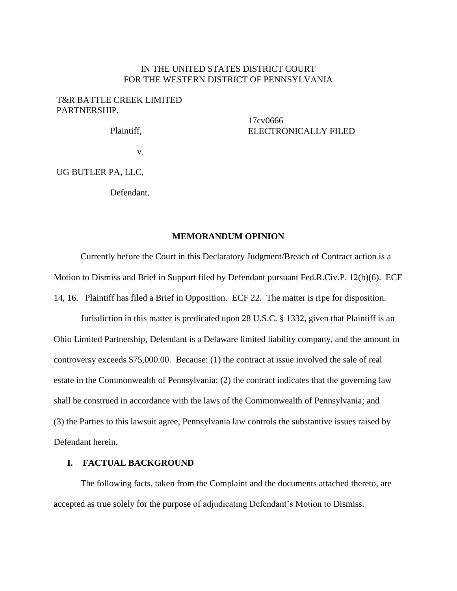## IN THE UNITED STATES DISTRICT COURT FOR THE WESTERN DISTRICT OF PENNSYLVANIA

## T&R BATTLE CREEK LIMITED PARTNERSHIP,

Plaintiff,

17cv0666 ELECTRONICALLY FILED

v.

UG BUTLER PA, LLC,

Defendant.

## **MEMORANDUM OPINION**

Currently before the Court in this Declaratory Judgment/Breach of Contract action is a Motion to Dismiss and Brief in Support filed by Defendant pursuant Fed.R.Civ.P. 12(b)(6). ECF 14, 16. Plaintiff has filed a Brief in Opposition. ECF 22. The matter is ripe for disposition.

Jurisdiction in this matter is predicated upon 28 U.S.C. § 1332, given that Plaintiff is an Ohio Limited Partnership, Defendant is a Delaware limited liability company, and the amount in controversy exceeds \$75,000.00. Because: (1) the contract at issue involved the sale of real estate in the Commonwealth of Pennsylvania; (2) the contract indicates that the governing law shall be construed in accordance with the laws of the Commonwealth of Pennsylvania; and (3) the Parties to this lawsuit agree, Pennsylvania law controls the substantive issues raised by Defendant herein.

## **I. FACTUAL BACKGROUND**

The following facts, taken from the Complaint and the documents attached thereto, are accepted as true solely for the purpose of adjudicating Defendant's Motion to Dismiss.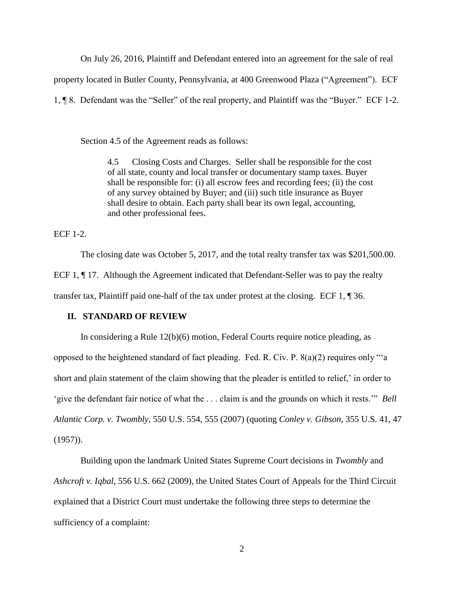On July 26, 2016, Plaintiff and Defendant entered into an agreement for the sale of real

property located in Butler County, Pennsylvania, at 400 Greenwood Plaza ("Agreement"). ECF

1, ¶ 8. Defendant was the "Seller" of the real property, and Plaintiff was the "Buyer." ECF 1-2.

Section 4.5 of the Agreement reads as follows:

4.5 Closing Costs and Charges. Seller shall be responsible for the cost of all state, county and local transfer or documentary stamp taxes. Buyer shall be responsible for: (i) all escrow fees and recording fees; (ii) the cost of any survey obtained by Buyer; and (iii) such title insurance as Buyer shall desire to obtain. Each party shall bear its own legal, accounting, and other professional fees.

ECF 1-2.

The closing date was October 5, 2017, and the total realty transfer tax was \$201,500.00. ECF 1, ¶ 17. Although the Agreement indicated that Defendant-Seller was to pay the realty transfer tax, Plaintiff paid one-half of the tax under protest at the closing. ECF 1, ¶ 36.

## **II. STANDARD OF REVIEW**

In considering a Rule 12(b)(6) motion, Federal Courts require notice pleading, as opposed to the heightened standard of fact pleading. Fed. R. Civ. P. 8(a)(2) requires only "'a short and plain statement of the claim showing that the pleader is entitled to relief,' in order to 'give the defendant fair notice of what the . . . claim is and the grounds on which it rests.'" *Bell Atlantic Corp. v. Twombly,* 550 U.S. 554, 555 (2007) (quoting *Conley v. Gibson*, 355 U.S. 41, 47  $(1957)$ ).

Building upon the landmark United States Supreme Court decisions in *Twombly* and *Ashcroft v. Iqbal*, 556 U.S. 662 (2009), the United States Court of Appeals for the Third Circuit explained that a District Court must undertake the following three steps to determine the sufficiency of a complaint: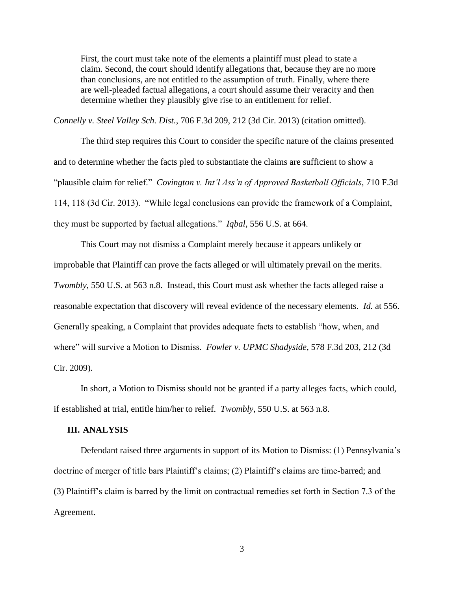First, the court must take note of the elements a plaintiff must plead to state a claim. Second, the court should identify allegations that, because they are no more than conclusions, are not entitled to the assumption of truth. Finally, where there are well-pleaded factual allegations, a court should assume their veracity and then determine whether they plausibly give rise to an entitlement for relief.

*Connelly v. Steel Valley Sch. Dist.*, 706 F.3d 209, 212 (3d Cir. 2013) (citation omitted).

The third step requires this Court to consider the specific nature of the claims presented and to determine whether the facts pled to substantiate the claims are sufficient to show a "plausible claim for relief." *Covington v. Int'l Ass'n of Approved Basketball Officials*, 710 F.3d 114, 118 (3d Cir. 2013). "While legal conclusions can provide the framework of a Complaint, they must be supported by factual allegations." *Iqbal*, 556 U.S. at 664.

This Court may not dismiss a Complaint merely because it appears unlikely or improbable that Plaintiff can prove the facts alleged or will ultimately prevail on the merits. *Twombly*, 550 U.S. at 563 n.8. Instead, this Court must ask whether the facts alleged raise a reasonable expectation that discovery will reveal evidence of the necessary elements. *Id.* at 556. Generally speaking, a Complaint that provides adequate facts to establish "how, when, and where" will survive a Motion to Dismiss. *Fowler v. UPMC Shadyside*, 578 F.3d 203, 212 (3d Cir. 2009).

In short, a Motion to Dismiss should not be granted if a party alleges facts, which could, if established at trial, entitle him/her to relief. *Twombly*, 550 U.S. at 563 n.8.

#### **III. ANALYSIS**

Defendant raised three arguments in support of its Motion to Dismiss: (1) Pennsylvania's doctrine of merger of title bars Plaintiff's claims; (2) Plaintiff's claims are time-barred; and (3) Plaintiff's claim is barred by the limit on contractual remedies set forth in Section 7.3 of the Agreement.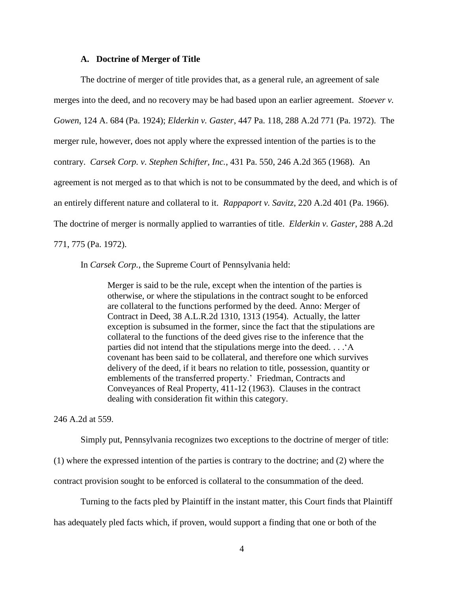#### **A. Doctrine of Merger of Title**

The doctrine of merger of title provides that, as a general rule, an agreement of sale merges into the deed, and no recovery may be had based upon an earlier agreement. *Stoever v. Gowen*, 124 A. 684 (Pa. 1924); *Elderkin v. Gaster*, 447 Pa. 118, 288 A.2d 771 (Pa. 1972). The merger rule, however, does not apply where the expressed intention of the parties is to the contrary. *Carsek Corp. v. Stephen Schifter, Inc.*, 431 Pa. 550, 246 A.2d 365 (1968). An agreement is not merged as to that which is not to be consummated by the deed, and which is of an entirely different nature and collateral to it. *Rappaport v. Savitz*, 220 A.2d 401 (Pa. 1966). The doctrine of merger is normally applied to warranties of title. *Elderkin v. Gaster*, 288 A.2d 771, 775 (Pa. 1972).

In *Carsek Corp.*, the Supreme Court of Pennsylvania held:

Merger is said to be the rule, except when the intention of the parties is otherwise, or where the stipulations in the contract sought to be enforced are collateral to the functions performed by the deed. Anno: Merger of Contract in Deed, 38 A.L.R.2d 1310, 1313 (1954). Actually, the latter exception is subsumed in the former, since the fact that the stipulations are collateral to the functions of the deed gives rise to the inference that the parties did not intend that the stipulations merge into the deed. . . .'A covenant has been said to be collateral, and therefore one which survives delivery of the deed, if it bears no relation to title, possession, quantity or emblements of the transferred property.' Friedman, Contracts and Conveyances of Real Property, 411-12 (1963). Clauses in the contract dealing with consideration fit within this category.

246 A.2d at 559.

Simply put, Pennsylvania recognizes two exceptions to the doctrine of merger of title:

(1) where the expressed intention of the parties is contrary to the doctrine; and (2) where the

contract provision sought to be enforced is collateral to the consummation of the deed.

Turning to the facts pled by Plaintiff in the instant matter, this Court finds that Plaintiff

has adequately pled facts which, if proven, would support a finding that one or both of the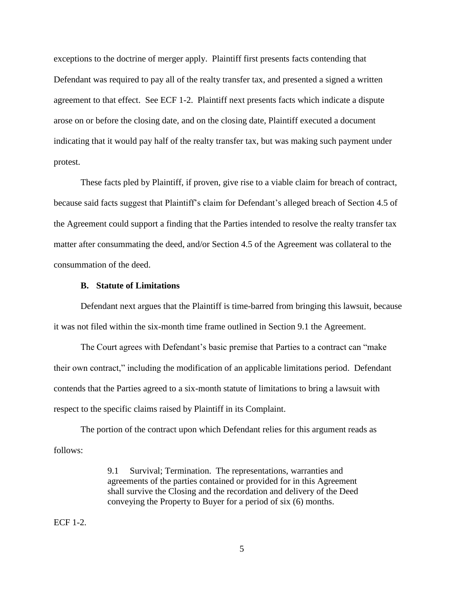exceptions to the doctrine of merger apply. Plaintiff first presents facts contending that Defendant was required to pay all of the realty transfer tax, and presented a signed a written agreement to that effect. See ECF 1-2. Plaintiff next presents facts which indicate a dispute arose on or before the closing date, and on the closing date, Plaintiff executed a document indicating that it would pay half of the realty transfer tax, but was making such payment under protest.

These facts pled by Plaintiff, if proven, give rise to a viable claim for breach of contract, because said facts suggest that Plaintiff's claim for Defendant's alleged breach of Section 4.5 of the Agreement could support a finding that the Parties intended to resolve the realty transfer tax matter after consummating the deed, and/or Section 4.5 of the Agreement was collateral to the consummation of the deed.

#### **B. Statute of Limitations**

Defendant next argues that the Plaintiff is time-barred from bringing this lawsuit, because it was not filed within the six-month time frame outlined in Section 9.1 the Agreement.

The Court agrees with Defendant's basic premise that Parties to a contract can "make their own contract," including the modification of an applicable limitations period. Defendant contends that the Parties agreed to a six-month statute of limitations to bring a lawsuit with respect to the specific claims raised by Plaintiff in its Complaint.

The portion of the contract upon which Defendant relies for this argument reads as follows:

> 9.1 Survival; Termination. The representations, warranties and agreements of the parties contained or provided for in this Agreement shall survive the Closing and the recordation and delivery of the Deed conveying the Property to Buyer for a period of six (6) months.

## ECF 1-2.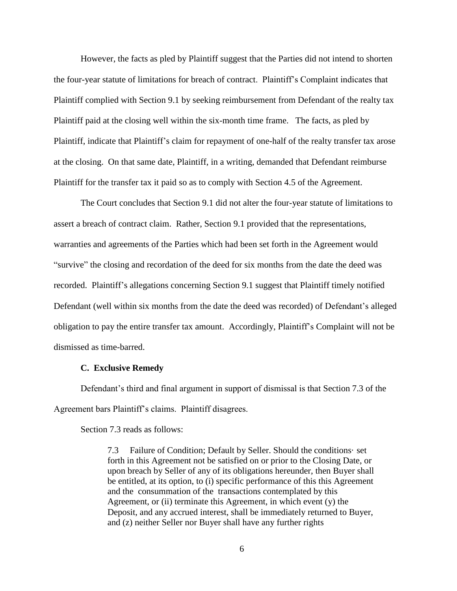However, the facts as pled by Plaintiff suggest that the Parties did not intend to shorten the four-year statute of limitations for breach of contract. Plaintiff's Complaint indicates that Plaintiff complied with Section 9.1 by seeking reimbursement from Defendant of the realty tax Plaintiff paid at the closing well within the six-month time frame. The facts, as pled by Plaintiff, indicate that Plaintiff's claim for repayment of one-half of the realty transfer tax arose at the closing. On that same date, Plaintiff, in a writing, demanded that Defendant reimburse Plaintiff for the transfer tax it paid so as to comply with Section 4.5 of the Agreement.

The Court concludes that Section 9.1 did not alter the four-year statute of limitations to assert a breach of contract claim. Rather, Section 9.1 provided that the representations, warranties and agreements of the Parties which had been set forth in the Agreement would "survive" the closing and recordation of the deed for six months from the date the deed was recorded. Plaintiff's allegations concerning Section 9.1 suggest that Plaintiff timely notified Defendant (well within six months from the date the deed was recorded) of Defendant's alleged obligation to pay the entire transfer tax amount. Accordingly, Plaintiff's Complaint will not be dismissed as time-barred.

#### **C. Exclusive Remedy**

Defendant's third and final argument in support of dismissal is that Section 7.3 of the Agreement bars Plaintiff's claims. Plaintiff disagrees.

Section 7.3 reads as follows:

7.3 Failure of Condition; Default by Seller. Should the conditions· set forth in this Agreement not be satisfied on or prior to the Closing Date, or upon breach by Seller of any of its obligations hereunder, then Buyer shall be entitled, at its option, to (i) specific performance of this this Agreement and the consummation of the transactions contemplated by this Agreement, or  $(ii)$  terminate this Agreement, in which event  $(y)$  the Deposit, and any accrued interest, shall be immediately returned to Buyer, and (z) neither Seller nor Buyer shall have any further rights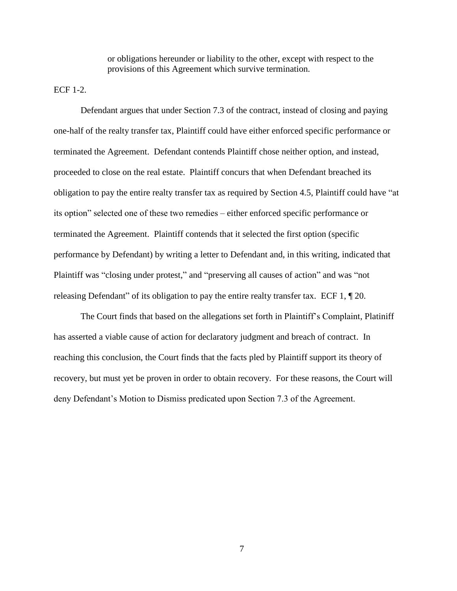or obligations hereunder or liability to the other, except with respect to the provisions of this Agreement which survive termination.

ECF 1-2.

Defendant argues that under Section 7.3 of the contract, instead of closing and paying one-half of the realty transfer tax, Plaintiff could have either enforced specific performance or terminated the Agreement. Defendant contends Plaintiff chose neither option, and instead, proceeded to close on the real estate. Plaintiff concurs that when Defendant breached its obligation to pay the entire realty transfer tax as required by Section 4.5, Plaintiff could have "at its option" selected one of these two remedies – either enforced specific performance or terminated the Agreement. Plaintiff contends that it selected the first option (specific performance by Defendant) by writing a letter to Defendant and, in this writing, indicated that Plaintiff was "closing under protest," and "preserving all causes of action" and was "not releasing Defendant" of its obligation to pay the entire realty transfer tax. ECF 1, ¶ 20.

The Court finds that based on the allegations set forth in Plaintiff's Complaint, Platiniff has asserted a viable cause of action for declaratory judgment and breach of contract. In reaching this conclusion, the Court finds that the facts pled by Plaintiff support its theory of recovery, but must yet be proven in order to obtain recovery. For these reasons, the Court will deny Defendant's Motion to Dismiss predicated upon Section 7.3 of the Agreement.

7